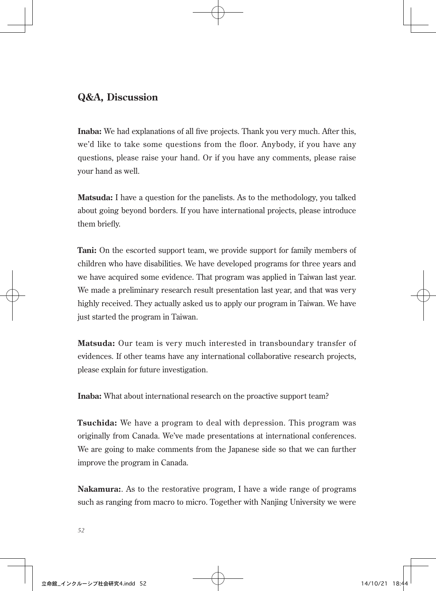## **Q&A, Discussion**

**Inaba:** We had explanations of all five projects. Thank you very much. After this, we'd like to take some questions from the floor. Anybody, if you have any questions, please raise your hand. Or if you have any comments, please raise your hand as well.

**Matsuda:** I have a question for the panelists. As to the methodology, you talked about going beyond borders. If you have international projects, please introduce them briefly.

**Tani:** On the escorted support team, we provide support for family members of children who have disabilities. We have developed programs for three years and we have acquired some evidence. That program was applied in Taiwan last year. We made a preliminary research result presentation last year, and that was very highly received. They actually asked us to apply our program in Taiwan. We have just started the program in Taiwan.

**Matsuda:** Our team is very much interested in transboundary transfer of evidences. If other teams have any international collaborative research projects, please explain for future investigation.

**Inaba:** What about international research on the proactive support team?

**Tsuchida:** We have a program to deal with depression. This program was originally from Canada. We've made presentations at international conferences. We are going to make comments from the Japanese side so that we can further improve the program in Canada.

**Nakamura:**. As to the restorative program, I have a wide range of programs such as ranging from macro to micro. Together with Nanjing University we were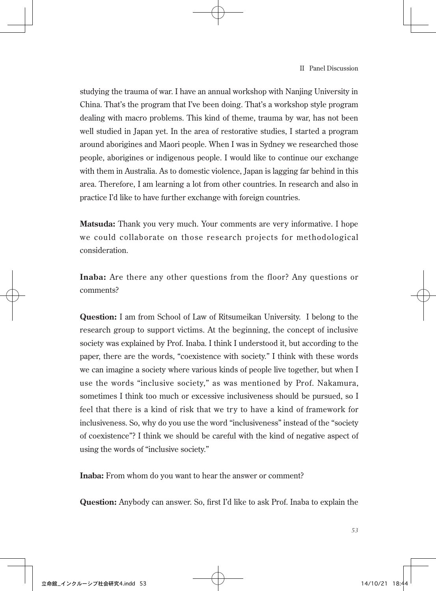studying the trauma of war. I have an annual workshop with Nanjing University in China. That's the program that I've been doing. That's a workshop style program dealing with macro problems. This kind of theme, trauma by war, has not been well studied in Japan yet. In the area of restorative studies, I started a program around aborigines and Maori people. When I was in Sydney we researched those people, aborigines or indigenous people. I would like to continue our exchange with them in Australia. As to domestic violence, Japan is lagging far behind in this area. Therefore, I am learning a lot from other countries. In research and also in practice I'd like to have further exchange with foreign countries.

**Matsuda:** Thank you very much. Your comments are very informative. I hope we could collaborate on those research projects for methodological consideration.

**Inaba:** Are there any other questions from the floor? Any questions or comments?

**Question:** I am from School of Law of Ritsumeikan University. I belong to the research group to support victims. At the beginning, the concept of inclusive society was explained by Prof. Inaba. I think I understood it, but according to the paper, there are the words, "coexistence with society." I think with these words we can imagine a society where various kinds of people live together, but when I use the words "inclusive society," as was mentioned by Prof. Nakamura, sometimes I think too much or excessive inclusiveness should be pursued, so I feel that there is a kind of risk that we try to have a kind of framework for inclusiveness. So, why do you use the word "inclusiveness" instead of the "society of coexistence"? I think we should be careful with the kind of negative aspect of using the words of "inclusive society."

**Inaba:** From whom do you want to hear the answer or comment?

**Question:** Anybody can answer. So, first I'd like to ask Prof. Inaba to explain the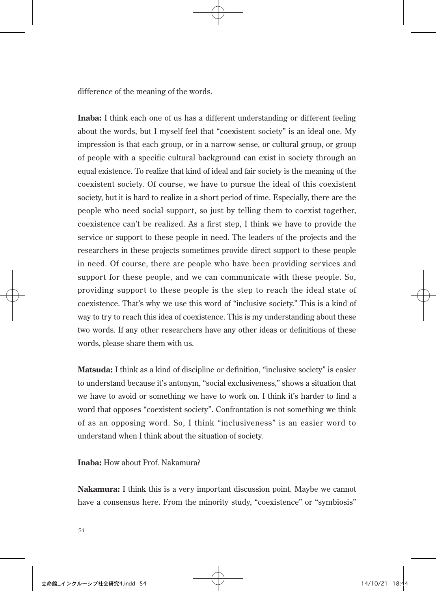difference of the meaning of the words.

**Inaba:** I think each one of us has a different understanding or different feeling about the words, but I myself feel that "coexistent society" is an ideal one. My impression is that each group, or in a narrow sense, or cultural group, or group of people with a specific cultural background can exist in society through an equal existence. To realize that kind of ideal and fair society is the meaning of the coexistent society. Of course, we have to pursue the ideal of this coexistent society, but it is hard to realize in a short period of time. Especially, there are the people who need social support, so just by telling them to coexist together, coexistence can't be realized. As a first step, I think we have to provide the service or support to these people in need. The leaders of the projects and the researchers in these projects sometimes provide direct support to these people in need. Of course, there are people who have been providing services and support for these people, and we can communicate with these people. So, providing support to these people is the step to reach the ideal state of coexistence. That's why we use this word of "inclusive society." This is a kind of way to try to reach this idea of coexistence. This is my understanding about these two words. If any other researchers have any other ideas or definitions of these words, please share them with us.

**Matsuda:** I think as a kind of discipline or definition, "inclusive society" is easier to understand because it's antonym, "social exclusiveness," shows a situation that we have to avoid or something we have to work on. I think it's harder to find a word that opposes "coexistent society". Confrontation is not something we think of as an opposing word. So, I think "inclusiveness" is an easier word to understand when I think about the situation of society.

**Inaba:** How about Prof. Nakamura?

**Nakamura:** I think this is a very important discussion point. Maybe we cannot have a consensus here. From the minority study, "coexistence" or "symbiosis"